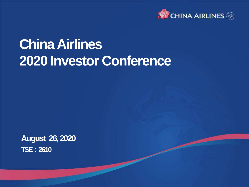

### **China Airlines 2020 Investor Conference**

**August 26, 2020 TSE:2610**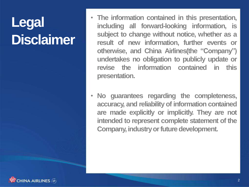## **Legal Disclaimer**

- **The information contained in this presentation, including all forward-looking information, is subject to change without notice, whether as a result of new information, further events or otherwise, and China Airlines(the "Company") undertakes no obligation to publicly update or revise the information contained in this presentation.**
- **No guarantees regarding the completeness, accuracy, and reliability of information contained are made explicitly or implicitly. They are not intended to represent complete statement of the Company, industry or future development.**

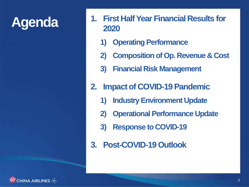- **Agenda 1. First Half Year Financial Results for 2020**
	- **1) Operating Performance**
	- **2) Composition of Op. Revenue & Cost**
	- **3) Financial Risk Management**
	- **2. Impact of COVID-19 Pandemic**
		- **1) Industry Environment Update**
		- **2) Operational Performance Update**
		- **3) Response to COVID-19**
	- **3. Post-COVID-19 Outlook**

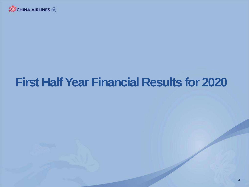

#### **First Half Year Financial Results for 2020**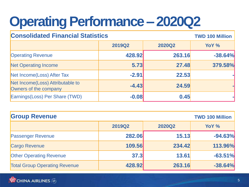### **Operating Performance – 2020Q2**

| <b>Consolidated Financial Statistics</b>                  |               | <b>TWD 100 Million</b> |           |
|-----------------------------------------------------------|---------------|------------------------|-----------|
|                                                           | <b>2019Q2</b> | <b>2020Q2</b>          | YoY %     |
| <b>Operating Revenue</b>                                  | 428.92        | 263.16                 | $-38.64%$ |
| <b>Net Operating Income</b>                               | 5.73          | 27.48                  | 379.58%   |
| Net Income(Loss) After Tax                                | $-2.91$       | 22.53                  |           |
| Net Income(Loss) Attributable to<br>Owners of the company | $-4.43$       | 24.59                  |           |
| Earnings (Loss) Per Share (TWD)                           | $-0.08$       | 0.45                   |           |

| <b>Group Revenue</b>                 |               |               | <b>TWD 100 Million</b> |
|--------------------------------------|---------------|---------------|------------------------|
|                                      | <b>2019Q2</b> | <b>2020Q2</b> | YoY %                  |
| <b>Passenger Revenue</b>             | 282.06        | 15.13         | $-94.63%$              |
| <b>Cargo Revenue</b>                 | 109.56        | 234.42        | 113.96%                |
| <b>Other Operating Revenue</b>       | 37.3          | 13.61         | $-63.51%$              |
| <b>Total Group Operating Revenue</b> | 428.92        | 263.16        | $-38.64%$              |

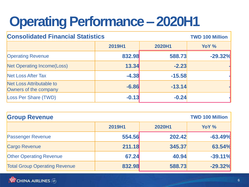### **Operating Performance – 2020H1**

| <b>Consolidated Financial Statistics</b>          |         |          | <b>TWD 100 Million</b> |  |
|---------------------------------------------------|---------|----------|------------------------|--|
|                                                   | 2019H1  | 2020H1   | YoY %                  |  |
| <b>Operating Revenue</b>                          | 832.98  | 588.73   | $-29.32%$              |  |
| Net Operating Income(Loss)                        | 13.34   | $-2.23$  |                        |  |
| <b>Net Loss After Tax</b>                         | $-4.38$ | $-15.58$ |                        |  |
| Net Loss Attributable to<br>Owners of the company | $-6.86$ | $-13.14$ |                        |  |
| <b>Loss Per Share (TWD)</b>                       | $-0.13$ | $-0.24$  |                        |  |

| <b>Group Revenue</b>                 |        |        | <b>TWD 100 Million</b> |
|--------------------------------------|--------|--------|------------------------|
|                                      | 2019H1 | 2020H1 | YoY %                  |
| <b>Passenger Revenue</b>             | 554.56 | 202.42 | $-63.49%$              |
| <b>Cargo Revenue</b>                 | 211.18 | 345.37 | 63.54%                 |
| <b>Other Operating Revenue</b>       | 67.24  | 40.94  | $-39.11%$              |
| <b>Total Group Operating Revenue</b> | 832.98 | 588.73 | $-29.32%$              |

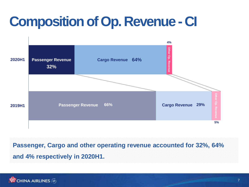### **Composition of Op. Revenue - CI**



#### **Passenger, Cargo and other operating revenue accounted for 32%, 64% and 4% respectively in 2020H1.**

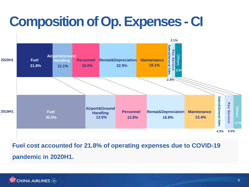### **Composition of Op. Expenses - CI**



**Fuel cost accounted for 21.8% of operating expenses due to COVID-19 pandemic in 2020H1.**

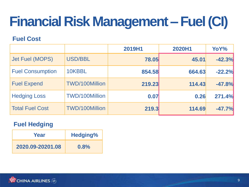## **Financial Risk Management –Fuel (CI)**

#### **Fuel Cost**

|                         |                       | 2019H1 | 2020H1 | YoY%     |
|-------------------------|-----------------------|--------|--------|----------|
| Jet Fuel (MOPS)         | USD/BBL               | 78.05  | 45.01  | $-42.3%$ |
| <b>Fuel Consumption</b> | 10KBBL                | 854.58 | 664.63 | $-22.2%$ |
| <b>Fuel Expend</b>      | <b>TWD/100Million</b> | 219.23 | 114.43 | $-47.8%$ |
| <b>Hedging Loss</b>     | <b>TWD/100Million</b> | 0.07   | 0.26   | 271.4%   |
| <b>Total Fuel Cost</b>  | <b>TWD/100Million</b> | 219.3  | 114.69 | $-47.7%$ |

#### **Fuel Hedging**

| Year             | <b>Hedging%</b> |
|------------------|-----------------|
| 2020.09-20201.08 | 0.8%            |

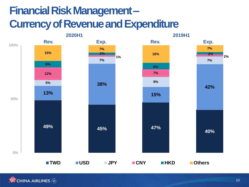#### **Financial Risk Management – Currency of Revenue and Expenditure**



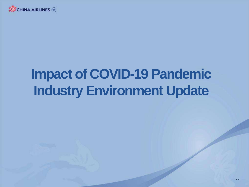

### **Impact of COVID-19 Pandemic Industry Environment Update**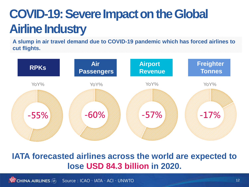#### **COVID-19: Severe Impact on the Global Airline Industry**

**A slump in air travel demand due to COVID-19 pandemic which has forced airlines to cut flights.**



#### **IATA forecasted airlines across the world are expected to lose USD 84.3 billion in 2020.**

**WE CHINA AIRLINES** Source: ICAO、IATA、ACI、UNWTO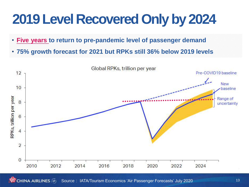## **2019 Level Recovered Only by 2024**

- **Five years to return to pre-pandemic level of passenger demand**
- **75% growth forecast for 2021 but RPKs still 36% below 2019 levels**

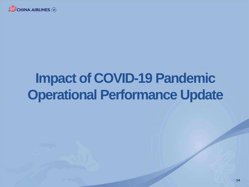

## **Impact of COVID-19 Pandemic Operational Performance Update**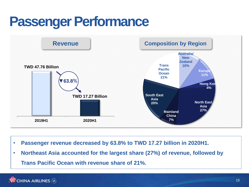#### **Passenger Performance**



- **Passenger revenue decreased by 63.8% to TWD 17.27 billion in 2020H1.**
- **Northeast Asia accounted for the largest share (27%) of revenue, followed by Trans Pacific Ocean with revenue share of 21%.**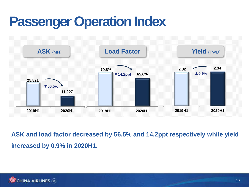#### **Passenger Operation Index**



**ASK and load factor decreased by 56.5% and 14.2ppt respectively while yield increased by 0.9% in 2020H1.**

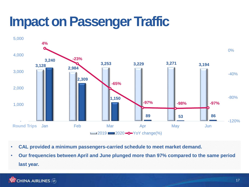#### **Impact on Passenger Traffic**



- **CAL provided a minimum passengers-carried schedule to meet market demand.**
- **Our frequencies between April and June plunged more than 97% compared to the same period last year.**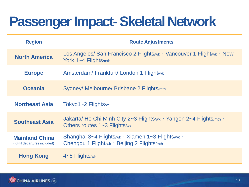### **Passenger Impact-Skeletal Network**

| <b>Region</b>                                      | <b>Route Adjustments</b>                                                                                        |
|----------------------------------------------------|-----------------------------------------------------------------------------------------------------------------|
| <b>North America</b>                               | Los Angeles/ San Francisco 2 Flights/wk \ Vancouver 1 Flight/wk \ New<br>York 1~4 Flights/mth                   |
| <b>Europe</b>                                      | Amsterdam/Frankfurt/London 1 Flight/wk                                                                          |
| <b>Oceania</b>                                     | Sydney/ Melbourne/ Brisbane 2 Flights/mth                                                                       |
| <b>Northeast Asia</b>                              | Tokyo1~2 Flights/wk                                                                                             |
| <b>Southeast Asia</b>                              | Jakarta/ Ho Chi Minh City 2~3 Flights/wk $\cdot$ Yangon 2~4 Flights/mth $\cdot$<br>Others routes 1~3 Flights/wk |
| <b>Mainland China</b><br>(KHH departures included) | Shanghai 3~4 Flights/wk > Xiamen 1~3 Flights/wk ><br>Chengdu 1 Flight/wk > Beijing 2 Flights/mth                |
| <b>Hong Kong</b>                                   | $\vert$ 4~5 Flights/wk                                                                                          |

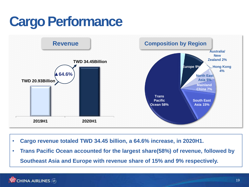### **Cargo Performance**



- **Cargo revenue totaled TWD 34.45 billion, a 64.6% increase, in 2020H1.**
- **Trans Pacific Ocean accounted for the largest share(58%) of revenue, followed by Southeast Asia and Europe with revenue share of 15% and 9% respectively.**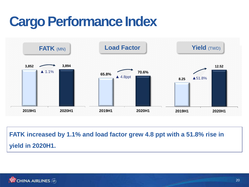### **Cargo Performance Index**



**FATK increased by 1.1% and load factor grew 4.8 ppt with a 51.8% rise in yield in 2020H1.** 

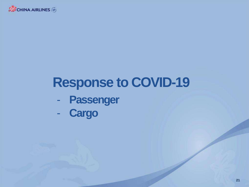

#### **Response to COVID-19**

- **Passenger**
- **Cargo**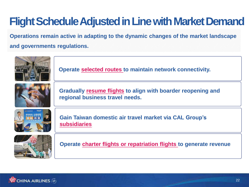#### **Flight Schedule Adjusted in Line with Market Demand**

**Operations remain active in adapting to the dynamic changes of the market landscape** 

#### **and governments regulations.**



**Operate selected routes to maintain network connectivity.**



**Gradually resume flights to align with boarder reopening and regional business travel needs.**



**Gain Taiwan domestic air travel market via CAL Group's subsidiaries**



**Operate charter flights or repatriation flights to generate revenue**

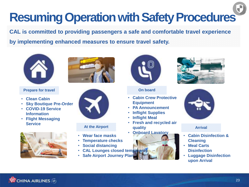## **Resuming Operation with Safety Procedures**

**CAL is committed to providing passengers a safe and comfortable travel experience by implementing enhanced measures to ensure travel safety.**



- **Clean Cabin**
- **Sky Boutique Pre-Order**
- **COVID-19 Service Information**
- **Flight Messaging Service**







- **Wear face masks**
- **Temperature checks**
- **Social distancing**
- **CAL Lounges closed temporarily**
- **Safe Airport Journey Plan**



- **Cabin Crew Protective Equipment**
- **PA Announcement**
- **Inflight Supplies**
- **Inflight Meal**
- **Fresh and recycled air quality At the Airport Arrival Arrival** 
	-







- **Cabin Disinfection & Cleaning**
- **Meal Carts Disinfection**
- **Luggage Disinfection upon Arrival**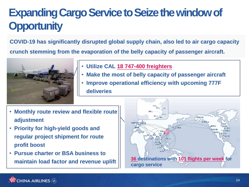#### **Expanding Cargo Service to Seize the window of Opportunity**

**COVID-19 has significantly disrupted global supply chain, also led to air cargo capacity** 

**crunch stemming from the evaporation of the belly capacity of passenger aircraft.**



- **Utilize CAL 18 747-400 freighters**
- **Make the most of belly capacity of passenger aircraft**
- **Improve operational efficiency with upcoming 777F deliveries**
- **Monthly route review and flexible route adjustment**
- **Priority for high-yield goods and regular project shipment for route profit boost**
- **Pursue charter or BSA business to**

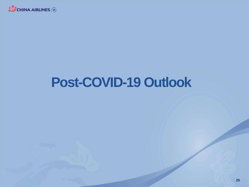

### **Post-COVID-19 Outlook**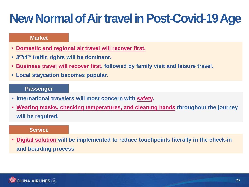#### **New Normal of Air travel in Post-Covid-19 Age**

#### **Market**

- **Domestic and regional air travel will recover first.**
- **3 rd/4th traffic rights will be dominant.**
- **Business travel will recover first, followed by family visit and leisure travel.**
- **Local staycation becomes popular.**

#### **Passenger**

- **International travelers will most concern with safety.**
- **Wearing masks, checking temperatures, and cleaning hands throughout the journey will be required.**

#### **Service**

• **Digital solution will be implemented to reduce touchpoints literally in the check-in and boarding process**

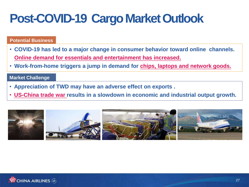#### **Post-COVID-19 Cargo Market Outlook**

#### **Potential Business**

- **COVID-19 has led to a major change in consumer behavior toward online channels. Online demand for essentials and entertainment has increased.**
- **Work-from-home triggers a jump in demand for chips, laptops and network goods.**

#### **Market Challenge**

- **Appreciation of TWD may have an adverse effect on exports .**
- **US-China trade war results in a slowdown in economic and industrial output growth.**

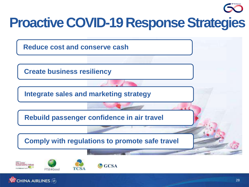# **Proactive COVID-19 Response Strategies Reduce cost and conserve cash Create business resiliency Integrate sales and marketing strategy Rebuild passenger confidence in air travel Comply with regulations to promote safe travel**Dow.Jones<br>Sustainability Indices  $C<sub>GCSA</sub>$



FTSF4Good